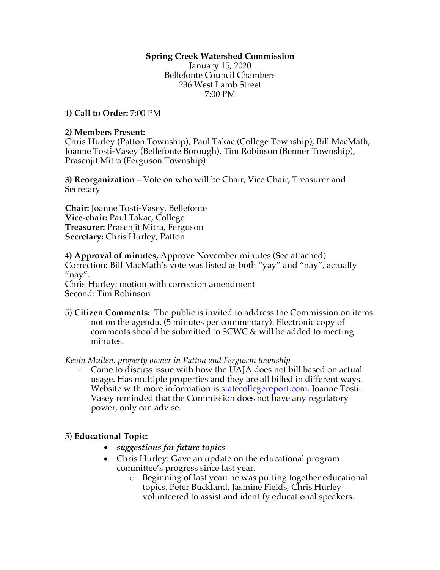## **Spring Creek Watershed Commission**

January 15, 2020 Bellefonte Council Chambers 236 West Lamb Street 7:00 PM

**1) Call to Order:** 7:00 PM

#### **2) Members Present:**

Chris Hurley (Patton Township), Paul Takac (College Township), Bill MacMath, Joanne Tosti-Vasey (Bellefonte Borough), Tim Robinson (Benner Township), Prasenjit Mitra (Ferguson Township)

**3) Reorganization –** Vote on who will be Chair, Vice Chair, Treasurer and **Secretary** 

**Chair:** Joanne Tosti-Vasey, Bellefonte **Vice-chair:** Paul Takac, College **Treasurer:** Prasenjit Mitra, Ferguson **Secretary:** Chris Hurley, Patton

**4) Approval of minutes,** Approve November minutes (See attached) Correction: Bill MacMath's vote was listed as both "yay" and "nay", actually  $"$ nay".

Chris Hurley: motion with correction amendment Second: Tim Robinson

5) **Citizen Comments:** The public is invited to address the Commission on items not on the agenda. (5 minutes per commentary). Electronic copy of comments should be submitted to SCWC & will be added to meeting minutes.

*Kevin Mullen: property owner in Patton and Ferguson township* 

Came to discuss issue with how the UAJA does not bill based on actual usage. Has multiple properties and they are all billed in different ways. Website with more information is statecollegereport.com. Joanne Tosti-Vasey reminded that the Commission does not have any regulatory power, only can advise.

### 5) **Educational Topic**:

- *suggestions for future topics*
- Chris Hurley: Gave an update on the educational program committee's progress since last year.
	- o Beginning of last year: he was putting together educational topics. Peter Buckland, Jasmine Fields, Chris Hurley volunteered to assist and identify educational speakers.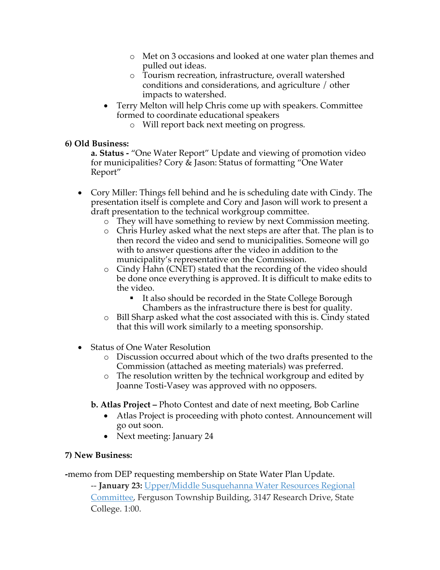- o Met on 3 occasions and looked at one water plan themes and pulled out ideas.
- o Tourism recreation, infrastructure, overall watershed conditions and considerations, and agriculture / other impacts to watershed.
- Terry Melton will help Chris come up with speakers. Committee formed to coordinate educational speakers
	- o Will report back next meeting on progress.

## **6) Old Business:**

**a. Status -** "One Water Report" Update and viewing of promotion video for municipalities? Cory & Jason: Status of formatting "One Water Report"

- Cory Miller: Things fell behind and he is scheduling date with Cindy. The presentation itself is complete and Cory and Jason will work to present a draft presentation to the technical workgroup committee.
	- o They will have something to review by next Commission meeting.
	- o Chris Hurley asked what the next steps are after that. The plan is to then record the video and send to municipalities. Someone will go with to answer questions after the video in addition to the municipality's representative on the Commission.
	- o Cindy Hahn (CNET) stated that the recording of the video should be done once everything is approved. It is difficult to make edits to the video.
		- It also should be recorded in the State College Borough Chambers as the infrastructure there is best for quality.
	- o Bill Sharp asked what the cost associated with this is. Cindy stated that this will work similarly to a meeting sponsorship.
- Status of One Water Resolution
	- o Discussion occurred about which of the two drafts presented to the Commission (attached as meeting materials) was preferred.
	- o The resolution written by the technical workgroup and edited by Joanne Tosti-Vasey was approved with no opposers.
	- **b. Atlas Project –** Photo Contest and date of next meeting, Bob Carline
		- Atlas Project is proceeding with photo contest. Announcement will go out soon.
		- Next meeting: January 24

# **7) New Business:**

**-**memo from DEP requesting membership on State Water Plan Update.

-- **January 23:** Upper/Middle Susquehanna Water Resources Regional Committee, Ferguson Township Building, 3147 Research Drive, State College. 1:00.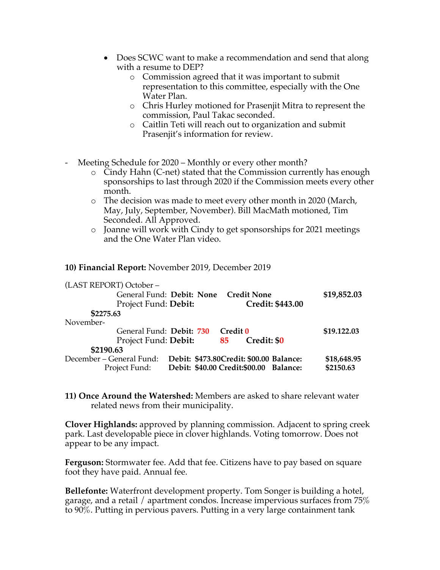- Does SCWC want to make a recommendation and send that along with a resume to DEP?
	- o Commission agreed that it was important to submit representation to this committee, especially with the One Water Plan.
	- o Chris Hurley motioned for Prasenjit Mitra to represent the commission, Paul Takac seconded.
	- o Caitlin Teti will reach out to organization and submit Prasenjit's information for review.
- Meeting Schedule for 2020 Monthly or every other month?
	- $\circ$  Cindy Hahn (C-net) stated that the Commission currently has enough sponsorships to last through 2020 if the Commission meets every other month.
	- o The decision was made to meet every other month in 2020 (March, May, July, September, November). Bill MacMath motioned, Tim Seconded. All Approved.
	- o Joanne will work with Cindy to get sponsorships for 2021 meetings and the One Water Plan video.

#### **10) Financial Report:** November 2019, December 2019

| (LAST REPORT) October-   |                                                 |             |
|--------------------------|-------------------------------------------------|-------------|
|                          | General Fund: Debit: None<br><b>Credit None</b> | \$19,852.03 |
| Project Fund: Debit:     | <b>Credit: \$443.00</b>                         |             |
| \$2275.63                |                                                 |             |
| November-                |                                                 |             |
| General Fund: Debit: 730 | Credit 0                                        | \$19.122.03 |
| Project Fund: Debit:     | Credit: \$0<br>85                               |             |
| \$2190.63                |                                                 |             |
| December – General Fund: | Debit: \$473.80Credit: \$00.00 Balance:         | \$18,648.95 |
| Project Fund:            | Debit: \$40.00 Credit:\$00.00 Balance:          | \$2150.63   |

**11) Once Around the Watershed:** Members are asked to share relevant water related news from their municipality.

**Clover Highlands:** approved by planning commission. Adjacent to spring creek park. Last developable piece in clover highlands. Voting tomorrow. Does not appear to be any impact.

**Ferguson:** Stormwater fee. Add that fee. Citizens have to pay based on square foot they have paid. Annual fee.

**Bellefonte:** Waterfront development property. Tom Songer is building a hotel, garage, and a retail / apartment condos. Increase impervious surfaces from 75% to 90%. Putting in pervious pavers. Putting in a very large containment tank